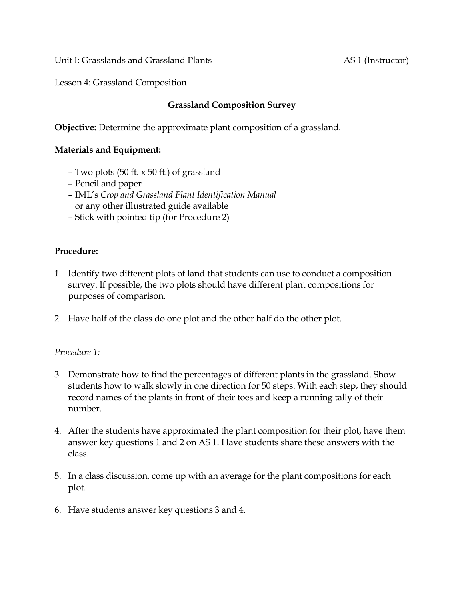Unit I: Grasslands and Grassland Plants AS 1 (Instructor)

Lesson 4: Grassland Composition

# **Grassland Composition Survey**

**Objective:** Determine the approximate plant composition of a grassland.

## **Materials and Equipment:**

- Two plots (50 ft. x 50 ft.) of grassland
- Pencil and paper
- IML's *Crop and Grassland Plant Identification Manual*  or any other illustrated guide available
- Stick with pointed tip (for Procedure 2)

## **Procedure:**

- 1. Identify two different plots of land that students can use to conduct a composition survey. If possible, the two plots should have different plant compositions for purposes of comparison.
- 2. Have half of the class do one plot and the other half do the other plot.

## *Procedure 1:*

- 3. Demonstrate how to find the percentages of different plants in the grassland. Show students how to walk slowly in one direction for 50 steps. With each step, they should record names of the plants in front of their toes and keep a running tally of their number.
- 4. After the students have approximated the plant composition for their plot, have them answer key questions 1 and 2 on AS 1. Have students share these answers with the class.
- 5. In a class discussion, come up with an average for the plant compositions for each plot.
- 6. Have students answer key questions 3 and 4.